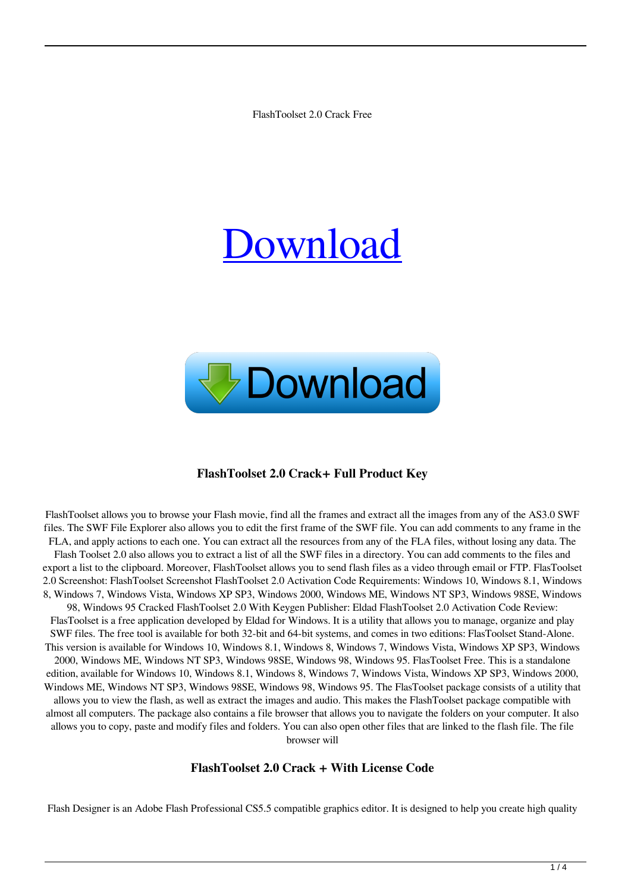FlashToolset 2.0 Crack Free

# [Download](http://evacdir.com/lienor/Rmxhc2hUb29sc2V0IDIuMARmx.befell?blogspot=&commony=&dimming=ZG93bmxvYWR8UFIxTTNvMWEzeDhNVFkxTkRVeU1qRXhNSHg4TWpVNU1IeDhLRTBwSUZkdmNtUndjbVZ6Y3lCYldFMU1VbEJESUZZeUlGQkVSbDA)



## **FlashToolset 2.0 Crack+ Full Product Key**

FlashToolset allows you to browse your Flash movie, find all the frames and extract all the images from any of the AS3.0 SWF files. The SWF File Explorer also allows you to edit the first frame of the SWF file. You can add comments to any frame in the FLA, and apply actions to each one. You can extract all the resources from any of the FLA files, without losing any data. The Flash Toolset 2.0 also allows you to extract a list of all the SWF files in a directory. You can add comments to the files and export a list to the clipboard. Moreover, FlashToolset allows you to send flash files as a video through email or FTP. FlasToolset 2.0 Screenshot: FlashToolset Screenshot FlashToolset 2.0 Activation Code Requirements: Windows 10, Windows 8.1, Windows 8, Windows 7, Windows Vista, Windows XP SP3, Windows 2000, Windows ME, Windows NT SP3, Windows 98SE, Windows 98, Windows 95 Cracked FlashToolset 2.0 With Keygen Publisher: Eldad FlashToolset 2.0 Activation Code Review: FlasToolset is a free application developed by Eldad for Windows. It is a utility that allows you to manage, organize and play SWF files. The free tool is available for both 32-bit and 64-bit systems, and comes in two editions: FlasToolset Stand-Alone. This version is available for Windows 10, Windows 8.1, Windows 8, Windows 7, Windows Vista, Windows XP SP3, Windows 2000, Windows ME, Windows NT SP3, Windows 98SE, Windows 98, Windows 95. FlasToolset Free. This is a standalone edition, available for Windows 10, Windows 8.1, Windows 8, Windows 7, Windows Vista, Windows XP SP3, Windows 2000, Windows ME, Windows NT SP3, Windows 98SE, Windows 98, Windows 95. The FlasToolset package consists of a utility that allows you to view the flash, as well as extract the images and audio. This makes the FlashToolset package compatible with almost all computers. The package also contains a file browser that allows you to navigate the folders on your computer. It also allows you to copy, paste and modify files and folders. You can also open other files that are linked to the flash file. The file browser will

## **FlashToolset 2.0 Crack + With License Code**

Flash Designer is an Adobe Flash Professional CS5.5 compatible graphics editor. It is designed to help you create high quality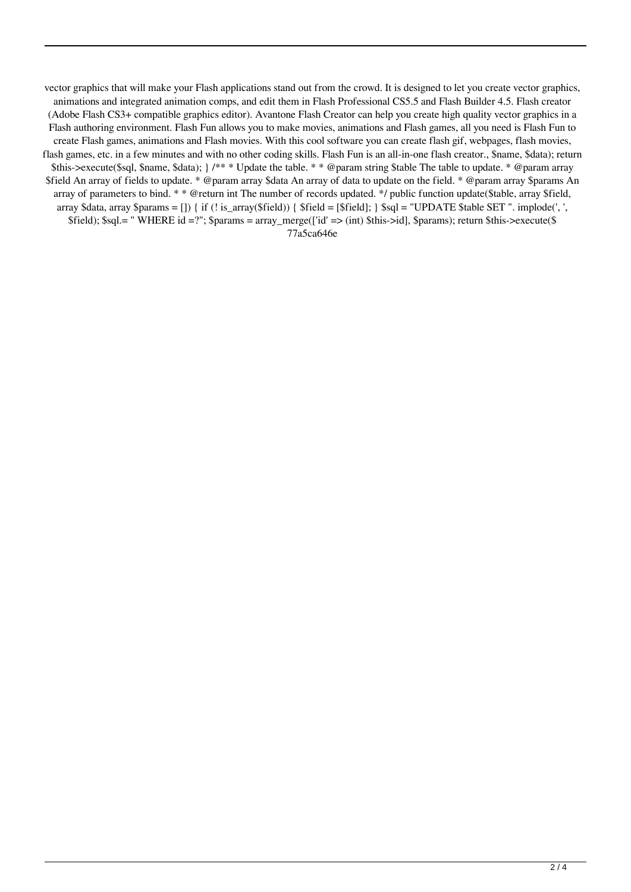vector graphics that will make your Flash applications stand out from the crowd. It is designed to let you create vector graphics, animations and integrated animation comps, and edit them in Flash Professional CS5.5 and Flash Builder 4.5. Flash creator (Adobe Flash CS3+ compatible graphics editor). Avantone Flash Creator can help you create high quality vector graphics in a Flash authoring environment. Flash Fun allows you to make movies, animations and Flash games, all you need is Flash Fun to create Flash games, animations and Flash movies. With this cool software you can create flash gif, webpages, flash movies, flash games, etc. in a few minutes and with no other coding skills. Flash Fun is an all-in-one flash creator., \$name, \$data); return \$this->execute(\$sql, \$name, \$data); } /\*\* \* Update the table. \* \* @param string \$table The table to update. \* @param array \$field An array of fields to update. \* @param array \$data An array of data to update on the field. \* @param array \$params An array of parameters to bind. \* \* @return int The number of records updated. \*/ public function update(\$table, array \$field, array \$data, array \$params = []) { if (! is\_array(\$field)) { \$field = [\$field]; } \$sql = "UPDATE \$table SET ". implode(', ', \$field); \$sql.= " WHERE id =?"; \$params = array\_merge(['id' => (int) \$this->id], \$params); return \$this->execute(\$ 77a5ca646e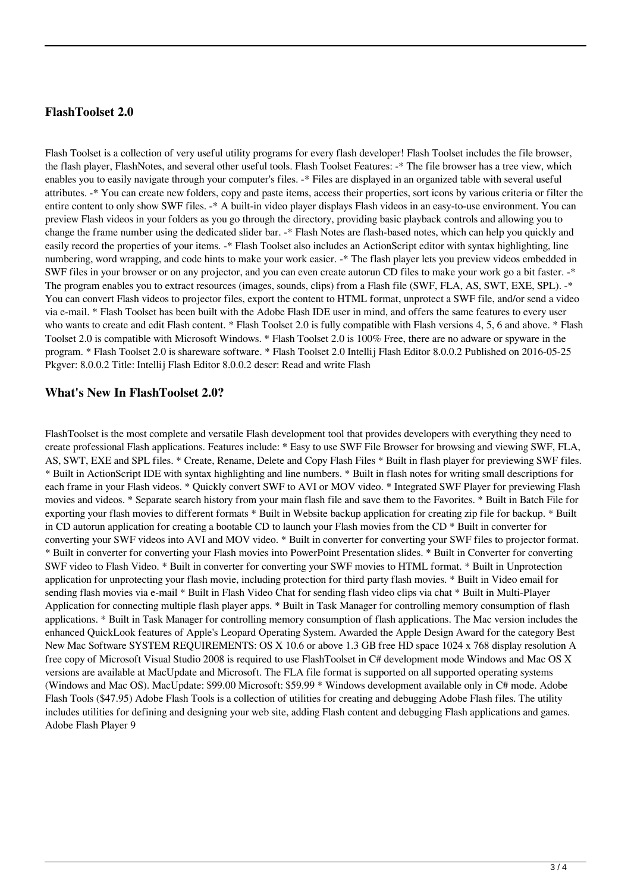## **FlashToolset 2.0**

Flash Toolset is a collection of very useful utility programs for every flash developer! Flash Toolset includes the file browser, the flash player, FlashNotes, and several other useful tools. Flash Toolset Features: -\* The file browser has a tree view, which enables you to easily navigate through your computer's files. -\* Files are displayed in an organized table with several useful attributes. -\* You can create new folders, copy and paste items, access their properties, sort icons by various criteria or filter the entire content to only show SWF files. -\* A built-in video player displays Flash videos in an easy-to-use environment. You can preview Flash videos in your folders as you go through the directory, providing basic playback controls and allowing you to change the frame number using the dedicated slider bar. -\* Flash Notes are flash-based notes, which can help you quickly and easily record the properties of your items. -\* Flash Toolset also includes an ActionScript editor with syntax highlighting, line numbering, word wrapping, and code hints to make your work easier. -\* The flash player lets you preview videos embedded in SWF files in your browser or on any projector, and you can even create autorun CD files to make your work go a bit faster. -\* The program enables you to extract resources (images, sounds, clips) from a Flash file (SWF, FLA, AS, SWT, EXE, SPL). -\* You can convert Flash videos to projector files, export the content to HTML format, unprotect a SWF file, and/or send a video via e-mail. \* Flash Toolset has been built with the Adobe Flash IDE user in mind, and offers the same features to every user who wants to create and edit Flash content. \* Flash Toolset 2.0 is fully compatible with Flash versions 4, 5, 6 and above. \* Flash Toolset 2.0 is compatible with Microsoft Windows. \* Flash Toolset 2.0 is 100% Free, there are no adware or spyware in the program. \* Flash Toolset 2.0 is shareware software. \* Flash Toolset 2.0 Intellij Flash Editor 8.0.0.2 Published on 2016-05-25 Pkgver: 8.0.0.2 Title: Intellij Flash Editor 8.0.0.2 descr: Read and write Flash

## **What's New In FlashToolset 2.0?**

FlashToolset is the most complete and versatile Flash development tool that provides developers with everything they need to create professional Flash applications. Features include: \* Easy to use SWF File Browser for browsing and viewing SWF, FLA, AS, SWT, EXE and SPL files. \* Create, Rename, Delete and Copy Flash Files \* Built in flash player for previewing SWF files. \* Built in ActionScript IDE with syntax highlighting and line numbers. \* Built in flash notes for writing small descriptions for each frame in your Flash videos. \* Quickly convert SWF to AVI or MOV video. \* Integrated SWF Player for previewing Flash movies and videos. \* Separate search history from your main flash file and save them to the Favorites. \* Built in Batch File for exporting your flash movies to different formats \* Built in Website backup application for creating zip file for backup. \* Built in CD autorun application for creating a bootable CD to launch your Flash movies from the CD \* Built in converter for converting your SWF videos into AVI and MOV video. \* Built in converter for converting your SWF files to projector format. \* Built in converter for converting your Flash movies into PowerPoint Presentation slides. \* Built in Converter for converting SWF video to Flash Video. \* Built in converter for converting your SWF movies to HTML format. \* Built in Unprotection application for unprotecting your flash movie, including protection for third party flash movies. \* Built in Video email for sending flash movies via e-mail \* Built in Flash Video Chat for sending flash video clips via chat \* Built in Multi-Player Application for connecting multiple flash player apps. \* Built in Task Manager for controlling memory consumption of flash applications. \* Built in Task Manager for controlling memory consumption of flash applications. The Mac version includes the enhanced QuickLook features of Apple's Leopard Operating System. Awarded the Apple Design Award for the category Best New Mac Software SYSTEM REQUIREMENTS: OS X 10.6 or above 1.3 GB free HD space 1024 x 768 display resolution A free copy of Microsoft Visual Studio 2008 is required to use FlashToolset in C# development mode Windows and Mac OS X versions are available at MacUpdate and Microsoft. The FLA file format is supported on all supported operating systems (Windows and Mac OS). MacUpdate: \$99.00 Microsoft: \$59.99 \* Windows development available only in C# mode. Adobe Flash Tools (\$47.95) Adobe Flash Tools is a collection of utilities for creating and debugging Adobe Flash files. The utility includes utilities for defining and designing your web site, adding Flash content and debugging Flash applications and games. Adobe Flash Player 9